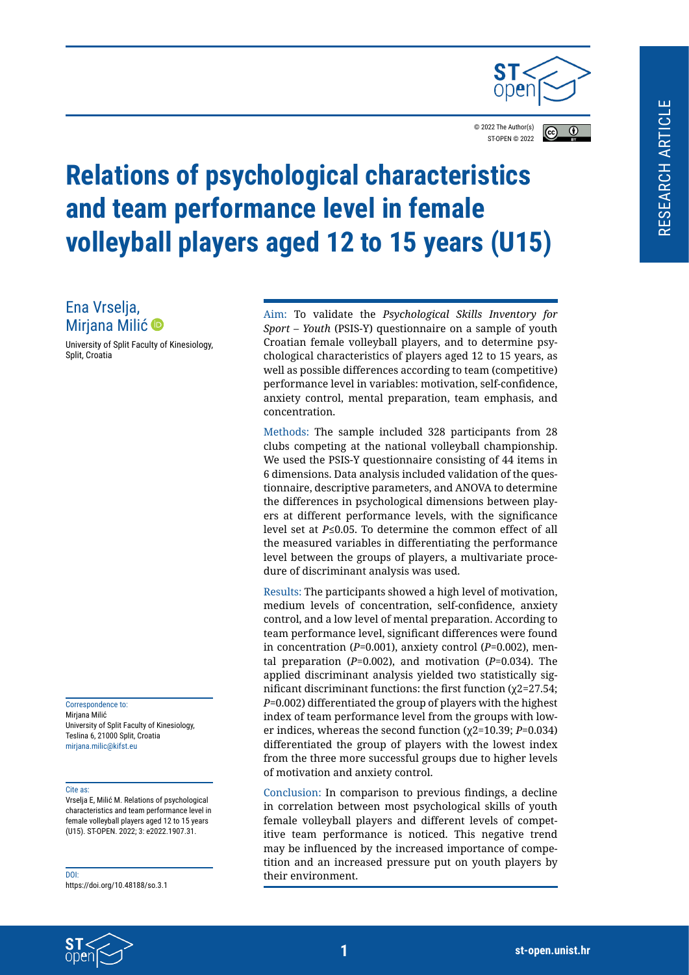

© 2022 The Author(s)  $\overline{r}$ ST-OPEN © 202[2](https://creativecommons.org/licenses/by/4.0/legalcode)

# **Relations of psychological characteristics and team performance level in female volleyball players aged 12 to 15 years (U15)**

Ena Vrselja, Mirjana Milić <sup>®</sup>

University of Split Faculty of Kinesiology, Split, Croatia

Correspondence to: Mirjana Milić University of Split Faculty of Kinesiology, Teslina 6, 21000 Split, Croatia mirjana.milic@kifst.eu

#### Cite as:

Vrselja E, Milić M. Relations of psychological characteristics and team performance level in female volleyball players aged 12 to 15 years (U15). ST-OPEN. 2022; 3: e2022.1907.31.

DOI: https://doi.org/10.48188/so.3.1

Aim: To validate the *Psychological Skills Inventory for Sport – Youth* (PSIS-Y) questionnaire on a sample of youth Croatian female volleyball players, and to determine psychological characteristics of players aged 12 to 15 years, as well as possible differences according to team (competitive) performance level in variables: motivation, self-confidence, anxiety control, mental preparation, team emphasis, and concentration.

Methods: The sample included 328 participants from 28 clubs competing at the national volleyball championship. We used the PSIS-Y questionnaire consisting of 44 items in 6 dimensions. Data analysis included validation of the questionnaire, descriptive parameters, and ANOVA to determine the differences in psychological dimensions between players at different performance levels, with the significance level set at *P*≤0.05. To determine the common effect of all the measured variables in differentiating the performance level between the groups of players, a multivariate procedure of discriminant analysis was used.

Results: The participants showed a high level of motivation, medium levels of concentration, self-confidence, anxiety control, and a low level of mental preparation. According to team performance level, significant differences were found in concentration (*P*=0.001), anxiety control (*P*=0.002), mental preparation (*P*=0.002), and motivation (*P*=0.034). The applied discriminant analysis yielded two statistically significant discriminant functions: the first function (χ2=27.54; *P*=0.002) differentiated the group of players with the highest index of team performance level from the groups with lower indices, whereas the second function (χ2=10.39; *P*=0.034) differentiated the group of players with the lowest index from the three more successful groups due to higher levels of motivation and anxiety control.

Conclusion: In comparison to previous findings, a decline in correlation between most psychological skills of youth female volleyball players and different levels of competitive team performance is noticed. This negative trend may be influenced by the increased importance of competition and an increased pressure put on youth players by their environment.

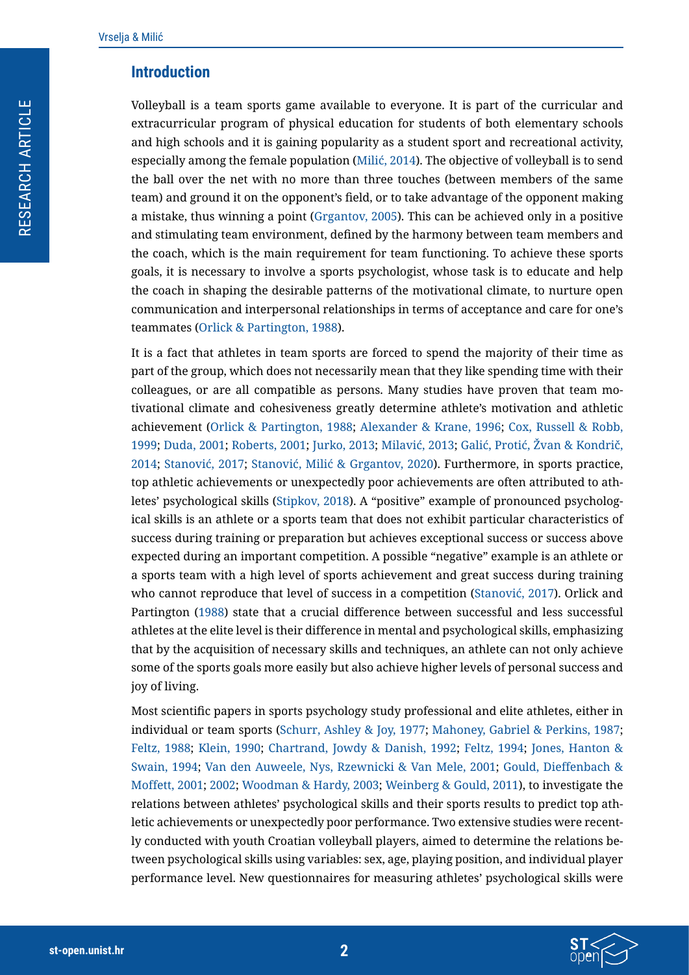#### **Introduction**

Volleyball is a team sports game available to everyone. It is part of the curricular and extracurricular program of physical education for students of both elementary schools and high schools and it is gaining popularity as a student sport and recreational activity, especially among the female population (Milić, 2014). The objective of volleyball is to send the ball over the net with no more than three touches (between members of the same team) and ground it on the opponent's field, or to take advantage of the opponent making a mistake, thus winning a point ([Grgantov, 2005](#page-13-0)). This can be achieved only in a positive and stimulating team environment, defined by the harmony between team members and the coach, which is the main requirement for team functioning. To achieve these sports goals, it is necessary to involve a sports psychologist, whose task is to educate and help the coach in shaping the desirable patterns of the motivational climate, to nurture open communication and interpersonal relationships in terms of acceptance and care for one's teammates ([Orlick & Partington, 1988](#page-13-1)).

It is a fact that athletes in team sports are forced to spend the majority of their time as part of the group, which does not necessarily mean that they like spending time with their colleagues, or are all compatible as persons. Many studies have proven that team motivational climate and cohesiveness greatly determine athlete's motivation and athletic achievement ([Orlick & Partington, 1988;](#page-13-1) [Alexander & Krane, 1996](#page-12-0); [Cox, Russell & Robb,](#page-12-1)  [1999;](#page-12-1) [Duda, 2001;](#page-12-2) [Roberts, 2001;](#page-13-2) [Jurko, 2013;](#page-13-3) Milavić, 2013; Galić, Protić, Žvan & Kondrič, 2014; Stanović, 2017; Stanović, Milić & Grgantov, 2020). Furthermore, in sports practice, top athletic achievements or unexpectedly poor achievements are often attributed to athletes' psychological skills ([Stipkov, 2018](#page-13-4)). A "positive" example of pronounced psychological skills is an athlete or a sports team that does not exhibit particular characteristics of success during training or preparation but achieves exceptional success or success above expected during an important competition. A possible "negative" example is an athlete or a sports team with a high level of sports achievement and great success during training who cannot reproduce that level of success in a competition (Stanović, 2017). Orlick and Partington ([1988](#page-13-1)) state that a crucial difference between successful and less successful athletes at the elite level is their difference in mental and psychological skills, emphasizing that by the acquisition of necessary skills and techniques, an athlete can not only achieve some of the sports goals more easily but also achieve higher levels of personal success and joy of living.

Most scientific papers in sports psychology study professional and elite athletes, either in individual or team sports ([Schurr, Ashley & Joy, 1977;](#page-13-5) [Mahoney, Gabriel & Perkins, 1987;](#page-13-6) [Feltz, 1988;](#page-12-3) [Klein, 1990](#page-13-7); [Chartrand, Jowdy & Danish, 1992;](#page-12-4) [Feltz, 1994;](#page-13-8) [Jones, Hanton &](#page-13-9)  [Swain, 1994](#page-13-9); [Van den Auweele, Nys, Rzewnicki & Van Mele, 2001;](#page-13-10) [Gould, Dieffenbach &](#page-13-11)  [Moffett, 2001;](#page-13-11) [2002;](#page-13-12) [Woodman & Hardy, 2003;](#page-14-0) [Weinberg & Gould, 2011](#page-14-1)), to investigate the relations between athletes' psychological skills and their sports results to predict top athletic achievements or unexpectedly poor performance. Two extensive studies were recently conducted with youth Croatian volleyball players, aimed to determine the relations between psychological skills using variables: sex, age, playing position, and individual player performance level. New questionnaires for measuring athletes' psychological skills were

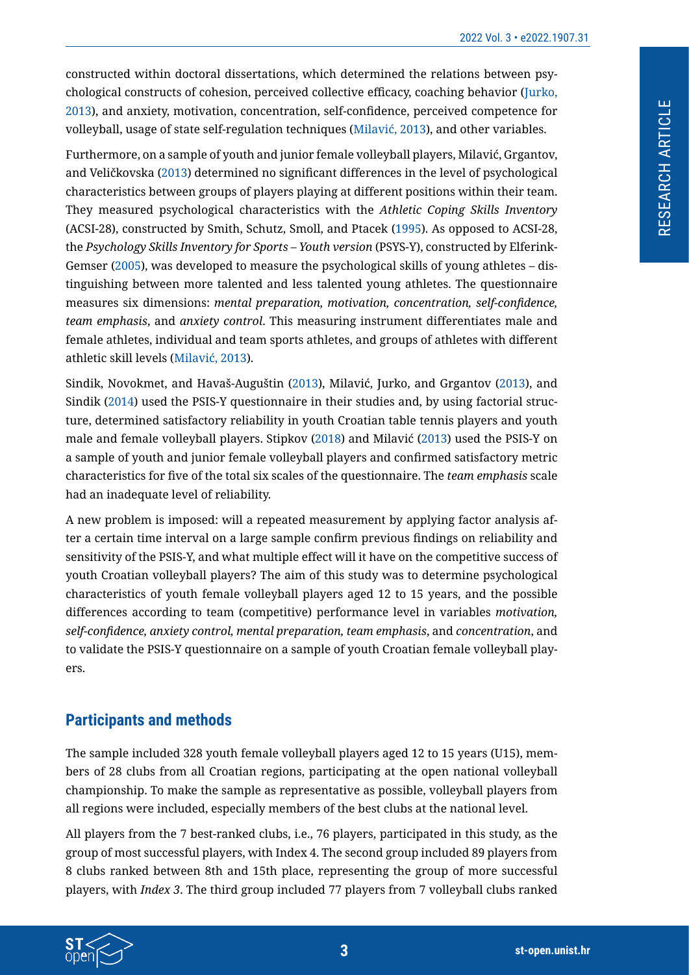constructed within doctoral dissertations, which determined the relations between psychological constructs of cohesion, perceived collective efficacy, coaching behavior ([Jurko,](#page-13-3)  [2013](#page-13-3)), and anxiety, motivation, concentration, self-confidence, perceived competence for volleyball, usage of state self-regulation techniques (Milavić, 2013), and other variables.

Furthermore, on a sample of youth and junior female volleyball players, Milavić, Grgantov, and Veličkovska (2013) determined no significant differences in the level of psychological characteristics between groups of players playing at different positions within their team. They measured psychological characteristics with the *Athletic Coping Skills Inventory* (ACSI-28), constructed by Smith, Schutz, Smoll, and Ptacek ([1995](#page-13-13)). As opposed to ACSI-28, the *Psychology Skills Inventory for Sports – Youth version* (PSYS-Y), constructed by Elferink-Gemser ([2005](#page-12-5)), was developed to measure the psychological skills of young athletes – distinguishing between more talented and less talented young athletes. The questionnaire measures six dimensions: *mental preparation, motivation, concentration, self-confidence, team emphasis*, and *anxiety control*. This measuring instrument differentiates male and female athletes, individual and team sports athletes, and groups of athletes with different athletic skill levels (Milavić, 2013).

Sindik, Novokmet, and Havaš-Auguštin (2013), Milavić, Jurko, and Grgantov (2013), and Sindik ([2014](#page-13-14)) used the PSIS-Y questionnaire in their studies and, by using factorial structure, determined satisfactory reliability in youth Croatian table tennis players and youth male and female volleyball players. Stipkov ([2018\)](#page-13-4) and Milavić (2013) used the PSIS-Y on a sample of youth and junior female volleyball players and confirmed satisfactory metric characteristics for five of the total six scales of the questionnaire. The *team emphasis* scale had an inadequate level of reliability.

A new problem is imposed: will a repeated measurement by applying factor analysis after a certain time interval on a large sample confirm previous findings on reliability and sensitivity of the PSIS-Y, and what multiple effect will it have on the competitive success of youth Croatian volleyball players? The aim of this study was to determine psychological characteristics of youth female volleyball players aged 12 to 15 years, and the possible differences according to team (competitive) performance level in variables *motivation, self-confidence, anxiety control, mental preparation, team emphasis*, and *concentration*, and to validate the PSIS-Y questionnaire on a sample of youth Croatian female volleyball players.

## **Participants and methods**

The sample included 328 youth female volleyball players aged 12 to 15 years (U15), members of 28 clubs from all Croatian regions, participating at the open national volleyball championship. To make the sample as representative as possible, volleyball players from all regions were included, especially members of the best clubs at the national level.

All players from the 7 best-ranked clubs, i.e., 76 players, participated in this study, as the group of most successful players, with Index 4. The second group included 89 players from 8 clubs ranked between 8th and 15th place, representing the group of more successful players, with *Index 3*. The third group included 77 players from 7 volleyball clubs ranked

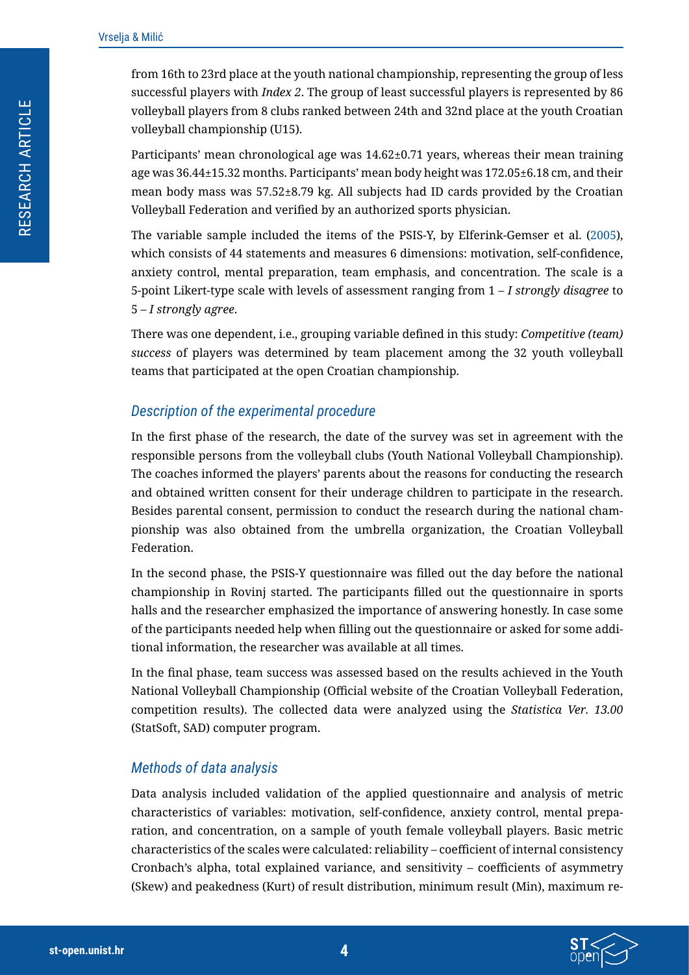from 16th to 23rd place at the youth national championship, representing the group of less successful players with *Index 2*. The group of least successful players is represented by 86 volleyball players from 8 clubs ranked between 24th and 32nd place at the youth Croatian volleyball championship (U15).

Participants' mean chronological age was 14.62±0.71 years, whereas their mean training age was 36.44±15.32 months. Participants' mean body height was 172.05±6.18 cm, and their mean body mass was 57.52±8.79 kg. All subjects had ID cards provided by the Croatian Volleyball Federation and verified by an authorized sports physician.

The variable sample included the items of the PSIS-Y, by Elferink-Gemser et al. ([2005](#page-12-5)), which consists of 44 statements and measures 6 dimensions: motivation, self-confidence, anxiety control, mental preparation, team emphasis, and concentration. The scale is a 5-point Likert-type scale with levels of assessment ranging from 1 – *I strongly disagree* to 5 – *I strongly agree*.

There was one dependent, i.e., grouping variable defined in this study: *Competitive (team) success* of players was determined by team placement among the 32 youth volleyball teams that participated at the open Croatian championship.

#### *Description of the experimental procedure*

In the first phase of the research, the date of the survey was set in agreement with the responsible persons from the volleyball clubs (Youth National Volleyball Championship). The coaches informed the players' parents about the reasons for conducting the research and obtained written consent for their underage children to participate in the research. Besides parental consent, permission to conduct the research during the national championship was also obtained from the umbrella organization, the Croatian Volleyball Federation.

In the second phase, the PSIS-Y questionnaire was filled out the day before the national championship in Rovinj started. The participants filled out the questionnaire in sports halls and the researcher emphasized the importance of answering honestly. In case some of the participants needed help when filling out the questionnaire or asked for some additional information, the researcher was available at all times.

In the final phase, team success was assessed based on the results achieved in the Youth National Volleyball Championship (Official website of the Croatian Volleyball Federation, competition results). The collected data were analyzed using the *Statistica Ver. 13.00*  (StatSoft, SAD) computer program.

#### *Methods of data analysis*

Data analysis included validation of the applied questionnaire and analysis of metric characteristics of variables: motivation, self-confidence, anxiety control, mental preparation, and concentration, on a sample of youth female volleyball players. Basic metric characteristics of the scales were calculated: reliability – coefficient of internal consistency Cronbach's alpha, total explained variance, and sensitivity – coefficients of asymmetry (Skew) and peakedness (Kurt) of result distribution, minimum result (Min), maximum re-

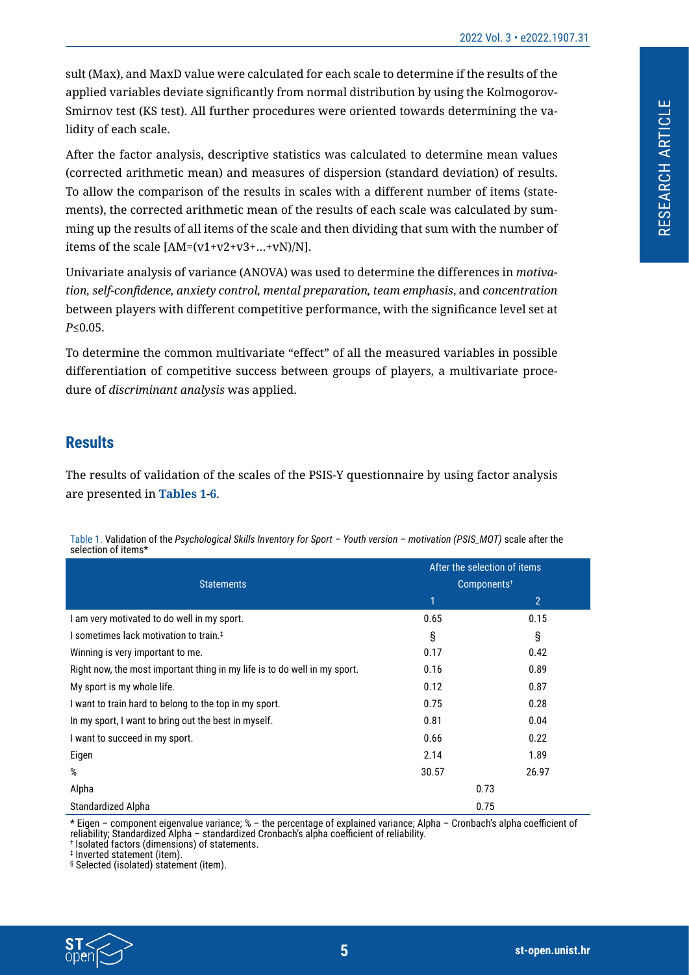sult (Max), and MaxD value were calculated for each scale to determine if the results of the applied variables deviate significantly from normal distribution by using the Kolmogorov-Smirnov test (KS test). All further procedures were oriented towards determining the validity of each scale.

After the factor analysis, descriptive statistics was calculated to determine mean values (corrected arithmetic mean) and measures of dispersion (standard deviation) of results. To allow the comparison of the results in scales with a different number of items (statements), the corrected arithmetic mean of the results of each scale was calculated by summing up the results of all items of the scale and then dividing that sum with the number of items of the scale  $[AM=(v1+v2+v3+...+vN)/N]$ .

Univariate analysis of variance (ANOVA) was used to determine the differences in *motivation, self-confidence, anxiety control, mental preparation, team emphasis*, and *concentration* between players with different competitive performance, with the significance level set at *P*≤0.05.

To determine the common multivariate "effect" of all the measured variables in possible differentiation of competitive success between groups of players, a multivariate procedure of *discriminant analysis* was applied.

# **Results**

The results of validation of the scales of the PSIS-Y questionnaire by using factor analysis are presented in **[Tables 1](#page-4-0)[-6](#page-7-0)**.

**Statements** After the selection of items Components† 1  $2$ I am very motivated to do well in my sport.  $0.15$  0.15 I sometimes lack motivation to train.<sup>‡</sup> **interval in the set of set of set of set of set of set of set of set of set of set of set of set of set of set of set of set of set of set of set of set of set of set of set of set** Winning is very important to me.  $0.17$  0.42 Right now, the most important thing in my life is to do well in my sport. 0.16 0.89 My sport is my whole life. 0.87 I want to train hard to belong to the top in my sport. Compared to the top in my sport. Compared to the top in my sport. In my sport, I want to bring out the best in myself. 0.81 0.04 0.04 I want to succeed in my sport. Contact the contact of the contact of the contact of the contact of the contact of the contact of the contact of the contact of the contact of the contact of the contact of the contact of the Eigen 2.14 1.89 % 30.57 26.97 Alpha 0.73 Standardized Alpha 0.75

<span id="page-4-0"></span>Table 1. Validation of the *Psychological Skills Inventory for Sport – Youth version – motivation (PSIS\_MOT)* scale after the selection of items\*

\* Eigen – component eigenvalue variance; % – the percentage of explained variance; Alpha – Cronbach's alpha coefficient of reliability; Standardized Alpha – standardized Cronbach's alpha coefficient of reliability.

† Isolated factors (dimensions) of statements.

§ Selected (isolated) statement (item).



<sup>‡</sup> Inverted statement (item).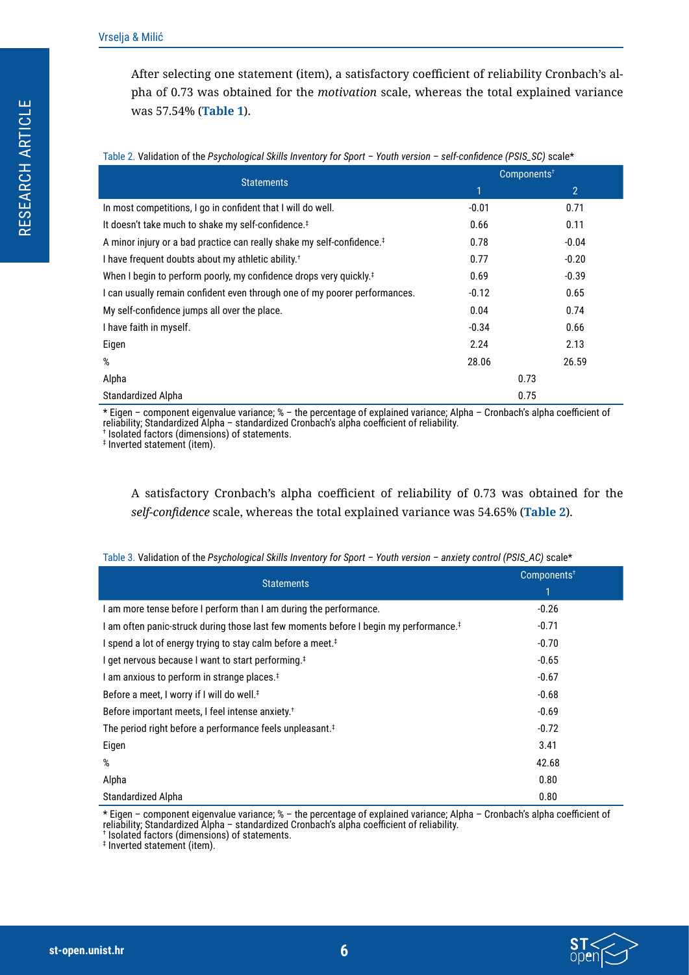After selecting one statement (item), a satisfactory coefficient of reliability Cronbach's alpha of 0.73 was obtained for the *motivation* scale, whereas the total explained variance was 57.54% (**[Table 1](#page-4-0)**).

| Table 2. Validation of the Esychological Skills hivehtory for Sport - Toddi version - Seri-Competite (FS13_3C) Scale |                         |                |  |  |  |  |  |
|----------------------------------------------------------------------------------------------------------------------|-------------------------|----------------|--|--|--|--|--|
| <b>Statements</b>                                                                                                    | Components <sup>+</sup> |                |  |  |  |  |  |
|                                                                                                                      | 1                       | $\overline{2}$ |  |  |  |  |  |
| In most competitions, I go in confident that I will do well.                                                         | $-0.01$                 | 0.71           |  |  |  |  |  |
| It doesn't take much to shake my self-confidence. <sup>‡</sup>                                                       | 0.66                    | 0.11           |  |  |  |  |  |
| A minor injury or a bad practice can really shake my self-confidence. <sup>‡</sup>                                   | 0.78                    | $-0.04$        |  |  |  |  |  |
| I have frequent doubts about my athletic ability. <sup>†</sup>                                                       | 0.77                    | $-0.20$        |  |  |  |  |  |
| When I begin to perform poorly, my confidence drops very quickly. <sup>‡</sup>                                       | 0.69                    | $-0.39$        |  |  |  |  |  |
| I can usually remain confident even through one of my poorer performances.                                           | $-0.12$                 | 0.65           |  |  |  |  |  |
| My self-confidence jumps all over the place.                                                                         | 0.04                    | 0.74           |  |  |  |  |  |
| I have faith in myself.                                                                                              | $-0.34$                 | 0.66           |  |  |  |  |  |
| Eigen                                                                                                                | 2.24                    | 2.13           |  |  |  |  |  |
| %                                                                                                                    | 28.06                   | 26.59          |  |  |  |  |  |
| Alpha<br>0.73                                                                                                        |                         |                |  |  |  |  |  |
| Standardized Alpha                                                                                                   |                         | 0.75           |  |  |  |  |  |

<span id="page-5-0"></span>Table 2. Validation of the *Psychological Skills Inventory for Sport – Youth version – self-confidence (PSIS\_SC)* scale\*

\* Eigen – component eigenvalue variance; % – the percentage of explained variance; Alpha – Cronbach's alpha coefficient of reliability; Standardized Alpha – standardized Cronbach's alpha coefficient of reliability. † Isolated factors (dimensions) of statements.

‡ Inverted statement (item).

A satisfactory Cronbach's alpha coefficient of reliability of 0.73 was obtained for the *self-confidence* scale, whereas the total explained variance was 54.65% (**[Table 2](#page-5-0)**).

| <b>Statements</b>                                                                                 | Components <sup>+</sup><br>1 |
|---------------------------------------------------------------------------------------------------|------------------------------|
| I am more tense before I perform than I am during the performance.                                | $-0.26$                      |
| I am often panic-struck during those last few moments before I begin my performance. <sup>‡</sup> | $-0.71$                      |
| I spend a lot of energy trying to stay calm before a meet. <sup>‡</sup>                           | $-0.70$                      |
| I get nervous because I want to start performing. <sup>‡</sup>                                    | $-0.65$                      |
| I am anxious to perform in strange places. <sup>#</sup>                                           | $-0.67$                      |
| Before a meet, I worry if I will do well. <sup>‡</sup>                                            | $-0.68$                      |
| Before important meets, I feel intense anxiety. <sup>†</sup>                                      | $-0.69$                      |
| The period right before a performance feels unpleasant. <sup>‡</sup>                              | $-0.72$                      |
| Eigen                                                                                             | 3.41                         |
| %                                                                                                 | 42.68                        |
| Alpha                                                                                             | 0.80                         |
| Standardized Alpha                                                                                | 0.80                         |

Table 3. Validation of the *Psychological Skills Inventory for Sport – Youth version – anxiety control (PSIS\_AC)* scale\*

\* Eigen – component eigenvalue variance; % – the percentage of explained variance; Alpha – Cronbach's alpha coefficient of reliability; Standardized Alpha – standardized Cronbach's alpha coefficient of reliability. † Isolated factors (dimensions) of statements.

‡ Inverted statement (item).

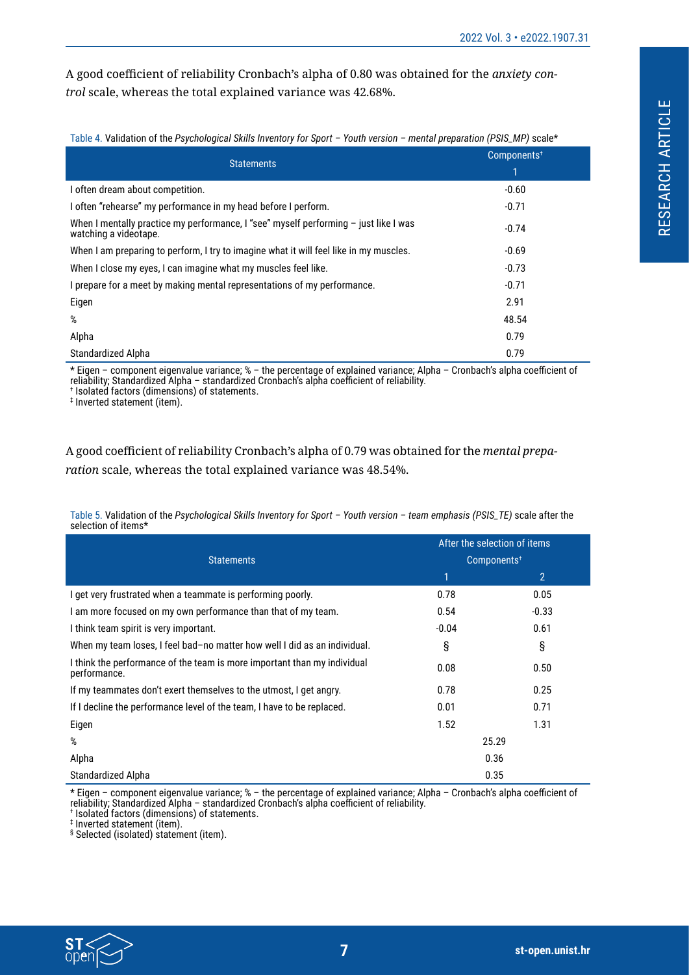A good coefficient of reliability Cronbach's alpha of 0.80 was obtained for the *anxiety control* scale, whereas the total explained variance was 42.68%.

Table 4. Validation of the *Psychological Skills Inventory for Sport – Youth version – mental preparation (PSIS\_MP)* scale\*

| <b>Statements</b>                                                                                               | Components <sup>+</sup> |  |  |
|-----------------------------------------------------------------------------------------------------------------|-------------------------|--|--|
|                                                                                                                 | 1                       |  |  |
| I often dream about competition.                                                                                | $-0.60$                 |  |  |
| I often "rehearse" my performance in my head before I perform.                                                  | $-0.71$                 |  |  |
| When I mentally practice my performance, I "see" myself performing $-$ just like I was<br>watching a videotape. | $-0.74$                 |  |  |
| When I am preparing to perform, I try to imagine what it will feel like in my muscles.                          | $-0.69$                 |  |  |
| When I close my eyes, I can imagine what my muscles feel like.                                                  | $-0.73$                 |  |  |
| I prepare for a meet by making mental representations of my performance.                                        | $-0.71$                 |  |  |
| Eigen                                                                                                           | 2.91                    |  |  |
| %                                                                                                               | 48.54                   |  |  |
| Alpha                                                                                                           | 0.79                    |  |  |
| Standardized Alpha                                                                                              | 0.79                    |  |  |

\* Eigen – component eigenvalue variance; % – the percentage of explained variance; Alpha – Cronbach's alpha coefficient of reliability; Standardized Alpha – standardized Cronbach's alpha coefficient of reliability. † Isolated factors (dimensions) of statements.

‡ Inverted statement (item).

A good coefficient of reliability Cronbach's alpha of 0.79 was obtained for the *mental preparation* scale, whereas the total explained variance was 48.54%.

Table 5. Validation of the *Psychological Skills Inventory for Sport – Youth version – team emphasis (PSIS\_TE)* scale after the selection of items\*

|                                                                                          | After the selection of items<br>Components <sup>+</sup> |                |  |  |
|------------------------------------------------------------------------------------------|---------------------------------------------------------|----------------|--|--|
| <b>Statements</b>                                                                        |                                                         |                |  |  |
|                                                                                          | 1                                                       | $\overline{2}$ |  |  |
| I get very frustrated when a teammate is performing poorly.                              | 0.78                                                    | 0.05           |  |  |
| I am more focused on my own performance than that of my team.                            | 0.54                                                    | $-0.33$        |  |  |
| I think team spirit is very important.                                                   | $-0.04$                                                 | 0.61           |  |  |
| When my team loses, I feel bad-no matter how well I did as an individual.                | §                                                       | §              |  |  |
| I think the performance of the team is more important than my individual<br>performance. | 0.08                                                    | 0.50           |  |  |
| If my teammates don't exert themselves to the utmost, I get angry.                       | 0.78                                                    | 0.25           |  |  |
| If I decline the performance level of the team, I have to be replaced.                   | 0.01                                                    | 0.71           |  |  |
| Eigen                                                                                    | 1.52                                                    | 1.31           |  |  |
| %                                                                                        |                                                         | 25.29          |  |  |
| Alpha                                                                                    | 0.36                                                    |                |  |  |
| Standardized Alpha                                                                       |                                                         | 0.35           |  |  |

\* Eigen – component eigenvalue variance; % – the percentage of explained variance; Alpha – Cronbach's alpha coefficient of reliability; Standardized Alpha – standardized Cronbach's alpha coefficient of reliability.

† Isolated factors (dimensions) of statements.

‡ Inverted statement (item).

§ Selected (isolated) statement (item).

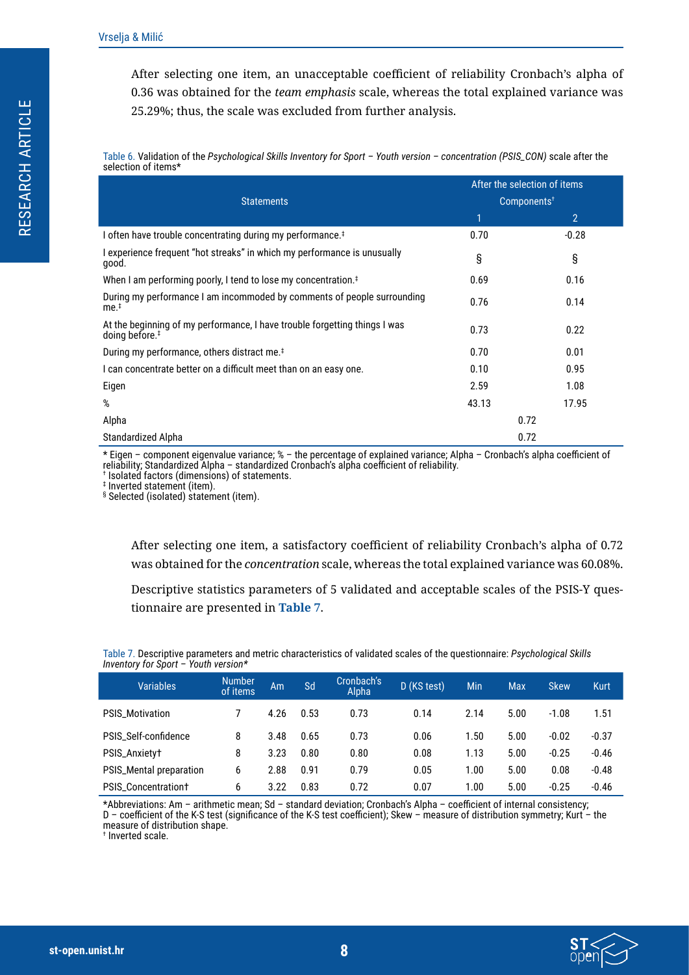After selecting one item, an unacceptable coefficient of reliability Cronbach's alpha of 0.36 was obtained for the *team emphasis* scale, whereas the total explained variance was 25.29%; thus, the scale was excluded from further analysis.

<span id="page-7-0"></span>Table 6. Validation of the *Psychological Skills Inventory for Sport – Youth version – concentration (PSIS\_CON)* scale after the selection of items\*

|                                                                                                          |                         | After the selection of items |  |  |
|----------------------------------------------------------------------------------------------------------|-------------------------|------------------------------|--|--|
| <b>Statements</b>                                                                                        | Components <sup>†</sup> |                              |  |  |
|                                                                                                          | 1                       | $\overline{2}$               |  |  |
| I often have trouble concentrating during my performance. <sup>‡</sup>                                   | 0.70                    | $-0.28$                      |  |  |
| I experience frequent "hot streaks" in which my performance is unusually<br>good.                        | §                       | §                            |  |  |
| When I am performing poorly, I tend to lose my concentration. <sup><math>\ddagger</math></sup>           | 0.69                    | 0.16                         |  |  |
| During my performance I am incommoded by comments of people surrounding<br>me. <sup>‡</sup>              | 0.76                    | 0.14                         |  |  |
| At the beginning of my performance, I have trouble forgetting things I was<br>doing before. <sup>#</sup> | 0.73                    | 0.22                         |  |  |
| During my performance, others distract me. <sup>‡</sup>                                                  | 0.70                    | 0.01                         |  |  |
| I can concentrate better on a difficult meet than on an easy one.                                        | 0.10                    | 0.95                         |  |  |
| Eigen                                                                                                    | 2.59                    | 1.08                         |  |  |
| %                                                                                                        | 43.13                   | 17.95                        |  |  |
| Alpha                                                                                                    |                         | 0.72                         |  |  |
| Standardized Alpha                                                                                       |                         | 0.72                         |  |  |

\* Eigen – component eigenvalue variance; % – the percentage of explained variance; Alpha – Cronbach's alpha coefficient of reliability; Standardized Alpha – standardized Cronbach's alpha coefficient of reliability.

† Isolated factors (dimensions) of statements.

‡ Inverted statement (item).

§ Selected (isolated) statement (item).

After selecting one item, a satisfactory coefficient of reliability Cronbach's alpha of 0.72 was obtained for the *concentration* scale, whereas the total explained variance was 60.08%.

Descriptive statistics parameters of 5 validated and acceptable scales of the PSIS-Y questionnaire are presented in **[Table 7](#page-7-1)**.

<span id="page-7-1"></span>Table 7. Descriptive parameters and metric characteristics of validated scales of the questionnaire: *Psychological Skills Inventory for Sport – Youth version\**

| <b>Variables</b>           | <b>Number</b><br>of items | Am   | Sd   | Cronbach's<br>Alpha | D (KS test) | <b>Min</b> | <b>Max</b> | <b>Skew</b> | <b>Kurt</b> |
|----------------------------|---------------------------|------|------|---------------------|-------------|------------|------------|-------------|-------------|
| <b>PSIS Motivation</b>     |                           | 4.26 | 0.53 | 0.73                | 0.14        | 2.14       | 5.00       | $-1.08$     | 1.51        |
| PSIS_Self-confidence       | 8                         | 3.48 | 0.65 | 0.73                | 0.06        | 1.50       | 5.00       | $-0.02$     | $-0.37$     |
| PSIS_Anxietyt              | 8                         | 3.23 | 0.80 | 0.80                | 0.08        | 1.13       | 5.00       | $-0.25$     | $-0.46$     |
| PSIS_Mental preparation    | 6                         | 2.88 | 0.91 | 0.79                | 0.05        | 1.00       | 5.00       | 0.08        | $-0.48$     |
| <b>PSIS Concentrationt</b> | 6                         | 3.22 | 0.83 | 0.72                | 0.07        | 1.00       | 5.00       | $-0.25$     | $-0.46$     |

\*Abbreviations: Am – arithmetic mean; Sd – standard deviation; Cronbach's Alpha – coefficient of internal consistency; D – coefficient of the K-S test (significance of the K-S test coefficient); Skew – measure of distribution symmetry; Kurt – the measure of distribution shape.

† Inverted scale.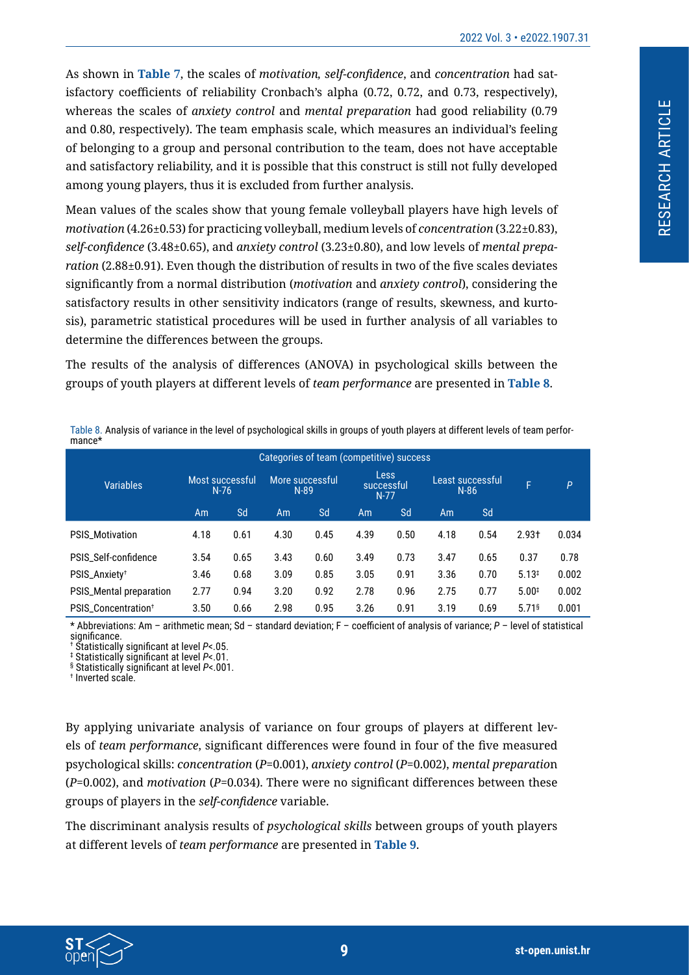As shown in **[Table 7](#page-7-1)**, the scales of *motivation, self-confidence*, and *concentration* had satisfactory coefficients of reliability Cronbach's alpha (0.72, 0.72, and 0.73, respectively), whereas the scales of *anxiety control* and *mental preparation* had good reliability (0.79 and 0.80, respectively). The team emphasis scale, which measures an individual's feeling of belonging to a group and personal contribution to the team, does not have acceptable and satisfactory reliability, and it is possible that this construct is still not fully developed among young players, thus it is excluded from further analysis.

Mean values of the scales show that young female volleyball players have high levels of *motivation* (4.26±0.53) for practicing volleyball, medium levels of *concentration* (3.22±0.83), *self-confidence* (3.48±0.65), and *anxiety control* (3.23±0.80), and low levels of *mental preparation* (2.88±0.91). Even though the distribution of results in two of the five scales deviates significantly from a normal distribution (*motivation* and *anxiety control*), considering the satisfactory results in other sensitivity indicators (range of results, skewness, and kurtosis), parametric statistical procedures will be used in further analysis of all variables to determine the differences between the groups.

The results of the analysis of differences (ANOVA) in psychological skills between the groups of youth players at different levels of *team performance* are presented in **[Table 8](#page-8-0)**.

| ilialice"                                |                           |      |      |                           |      |                                     |      |                            |                     |              |
|------------------------------------------|---------------------------|------|------|---------------------------|------|-------------------------------------|------|----------------------------|---------------------|--------------|
| Categories of team (competitive) success |                           |      |      |                           |      |                                     |      |                            |                     |              |
| <b>Variables</b>                         | Most successful<br>$N-76$ |      |      | More successful<br>$N-89$ |      | <b>Less</b><br>successful<br>$N-77$ |      | Least successful<br>$N-86$ |                     | $\mathsf{P}$ |
|                                          | Am                        | Sd   | Am   | Sd                        | Am   | Sd                                  | Am   | <b>Sd</b>                  |                     |              |
| <b>PSIS_Motivation</b>                   | 4.18                      | 0.61 | 4.30 | 0.45                      | 4.39 | 0.50                                | 4.18 | 0.54                       | $2.93+$             | 0.034        |
| PSIS_Self-confidence                     | 3.54                      | 0.65 | 3.43 | 0.60                      | 3.49 | 0.73                                | 3.47 | 0.65                       | 0.37                | 0.78         |
| PSIS_Anxiety <sup>+</sup>                | 3.46                      | 0.68 | 3.09 | 0.85                      | 3.05 | 0.91                                | 3.36 | 0.70                       | 5.13 <sup>‡</sup>   | 0.002        |
| PSIS_Mental preparation                  | 2.77                      | 0.94 | 3.20 | 0.92                      | 2.78 | 0.96                                | 2.75 | 0.77                       | $5.00*$             | 0.002        |
| PSIS Concentration <sup>+</sup>          | 3.50                      | 0.66 | 2.98 | 0.95                      | 3.26 | 0.91                                | 3.19 | 0.69                       | $5.71$ <sup>§</sup> | 0.001        |

<span id="page-8-0"></span>Table 8. Analysis of variance in the level of psychological skills in groups of youth players at different levels of team performance\*

\* Abbreviations: Am – arithmetic mean; Sd – standard deviation; F – coefficient of analysis of variance; *P* – level of statistical significance.

† Statistically significant at level *P*<.05.

‡ Statistically significant at level *P*<.01.

§ Statistically significant at level *P*<.001. †

<sup>t</sup> Inverted scale.

By applying univariate analysis of variance on four groups of players at different levels of *team performance*, significant differences were found in four of the five measured psychological skills: *concentration* (*P*=0.001), *anxiety control* (*P*=0.002), *mental preparatio*n (*P*=0.002), and *motivation* (*P*=0.034). There were no significant differences between these groups of players in the *self-confidence* variable.

The discriminant analysis results of *psychological skills* between groups of youth players at different levels of *team performance* are presented in **[Table 9](#page-9-0)**.

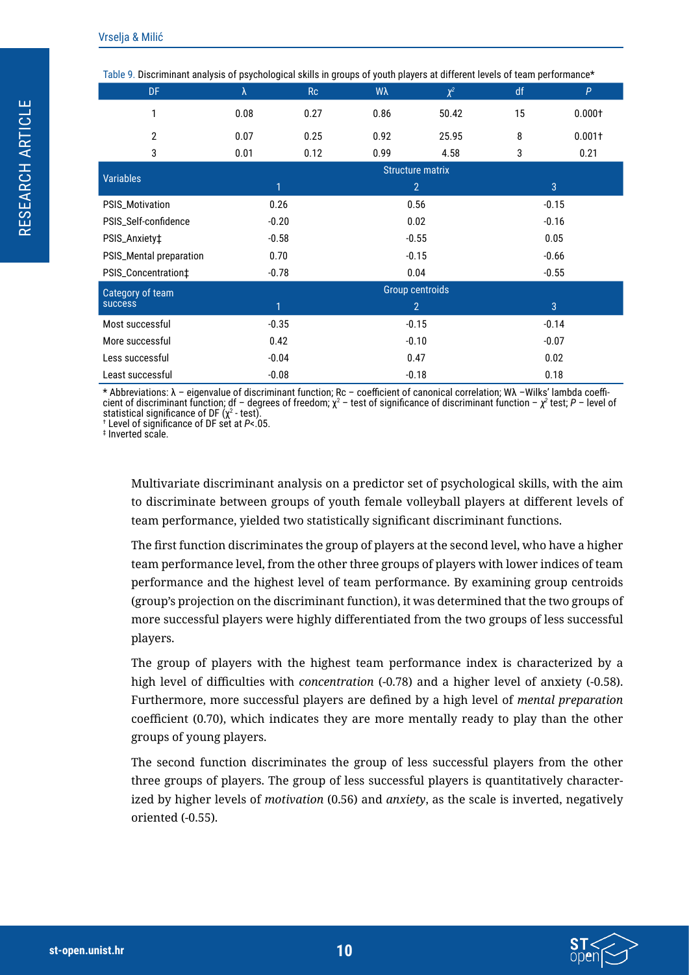| Table 9. Discriminant analysis of psychological skills in groups of youth players at different levels of team performance* |         |                        |                         |          |         |                |  |  |
|----------------------------------------------------------------------------------------------------------------------------|---------|------------------------|-------------------------|----------|---------|----------------|--|--|
| DF                                                                                                                         | λ       | Rc                     | Wλ                      | $\chi^2$ | df      | P              |  |  |
| 1                                                                                                                          | 0.08    | 0.27                   | 0.86                    | 50.42    | 15      | 0.0001         |  |  |
| $\overline{2}$                                                                                                             | 0.07    | 0.25                   | 0.92                    | 25.95    | 8       | $0.001+$       |  |  |
| 3                                                                                                                          | 0.01    | 0.12                   | 0.99                    | 4.58     | 3       | 0.21           |  |  |
| <b>Variables</b>                                                                                                           |         |                        | <b>Structure matrix</b> |          |         |                |  |  |
|                                                                                                                            | 1       |                        | $\overline{2}$          |          |         | $\overline{3}$ |  |  |
| PSIS_Motivation                                                                                                            |         | 0.26<br>0.56           |                         |          | $-0.15$ |                |  |  |
| PSIS_Self-confidence                                                                                                       |         | $-0.20$                |                         | 0.02     | $-0.16$ |                |  |  |
| PSIS_Anxiety‡                                                                                                              |         | $-0.58$                |                         | $-0.55$  |         | 0.05           |  |  |
| PSIS_Mental preparation                                                                                                    | 0.70    | $-0.15$                |                         |          | $-0.66$ |                |  |  |
| PSIS_Concentration‡                                                                                                        | $-0.78$ |                        | 0.04                    |          |         | $-0.55$        |  |  |
| Category of team                                                                                                           |         | <b>Group centroids</b> |                         |          |         |                |  |  |
| <b>success</b>                                                                                                             | 1       |                        | $\overline{2}$          |          |         | $\overline{3}$ |  |  |
| Most successful                                                                                                            | $-0.35$ |                        | $-0.15$                 |          | $-0.14$ |                |  |  |
| More successful                                                                                                            | 0.42    |                        | $-0.10$                 |          | $-0.07$ |                |  |  |
| Less successful                                                                                                            | $-0.04$ |                        | 0.47                    |          |         | 0.02           |  |  |
| Least successful                                                                                                           | $-0.08$ |                        | $-0.18$                 |          |         | 0.18           |  |  |

<span id="page-9-0"></span>Table 9. Discriminant analysis of psychological skills in groups of youth players at different levels of team performance\*

\* Abbreviations: λ – eigenvalue of discriminant function; Rc – coefficient of canonical correlation; Wλ –Wilks' lambda coefficient of discriminant function; df – degrees of freedom; χ<sup>2</sup> – test of significance of discriminant function – χ<sup>2</sup> test; P – level of statistical significance of DF (χ² - test).<br>† Level of significance of DF set at *P< 0* 

Level of significance of DF set at *P*<.05.

‡ Inverted scale.

Multivariate discriminant analysis on a predictor set of psychological skills, with the aim to discriminate between groups of youth female volleyball players at different levels of team performance, yielded two statistically significant discriminant functions.

The first function discriminates the group of players at the second level, who have a higher team performance level, from the other three groups of players with lower indices of team performance and the highest level of team performance. By examining group centroids (group's projection on the discriminant function), it was determined that the two groups of more successful players were highly differentiated from the two groups of less successful players.

The group of players with the highest team performance index is characterized by a high level of difficulties with *concentration* (-0.78) and a higher level of anxiety (-0.58). Furthermore, more successful players are defined by a high level of *mental preparation* coefficient (0.70), which indicates they are more mentally ready to play than the other groups of young players.

The second function discriminates the group of less successful players from the other three groups of players. The group of less successful players is quantitatively characterized by higher levels of *motivation* (0.56) and *anxiety*, as the scale is inverted, negatively oriented (-0.55).

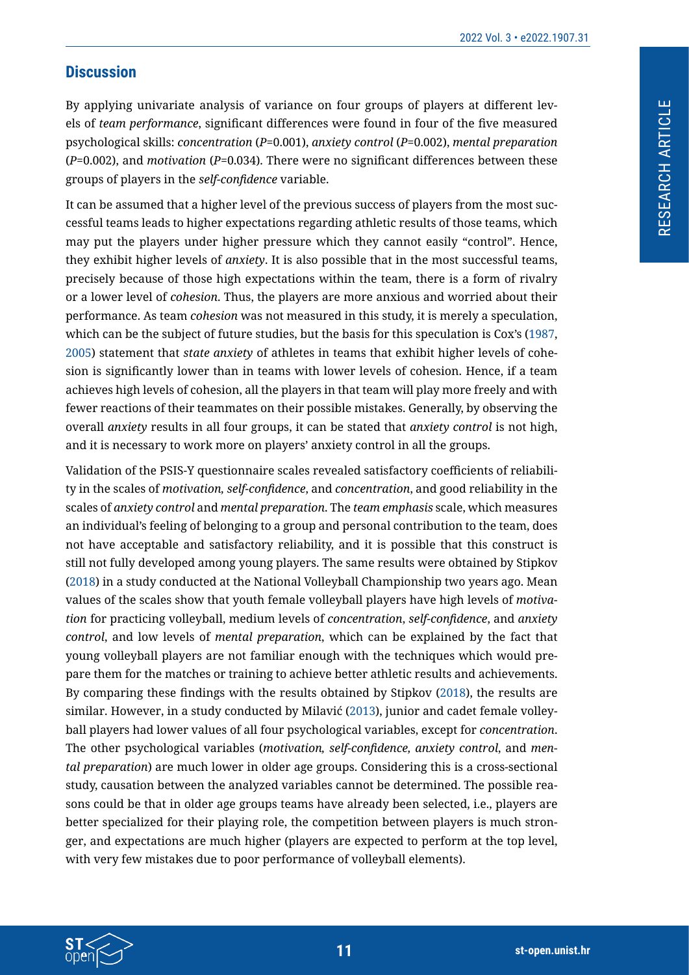### **Discussion**

By applying univariate analysis of variance on four groups of players at different levels of *team performance*, significant differences were found in four of the five measured psychological skills: *concentration* (*P*=0.001), *anxiety control* (*P*=0.002), *mental preparation* (*P*=0.002), and *motivation* (*P*=0.034). There were no significant differences between these groups of players in the *self-confidence* variable.

It can be assumed that a higher level of the previous success of players from the most successful teams leads to higher expectations regarding athletic results of those teams, which may put the players under higher pressure which they cannot easily "control". Hence, they exhibit higher levels of *anxiety*. It is also possible that in the most successful teams, precisely because of those high expectations within the team, there is a form of rivalry or a lower level of *cohesion*. Thus, the players are more anxious and worried about their performance. As team *cohesion* was not measured in this study, it is merely a speculation, which can be the subject of future studies, but the basis for this speculation is Cox's ([1987](#page-12-6), [2005](#page-12-7)) statement that *state anxiety* of athletes in teams that exhibit higher levels of cohesion is significantly lower than in teams with lower levels of cohesion. Hence, if a team achieves high levels of cohesion, all the players in that team will play more freely and with fewer reactions of their teammates on their possible mistakes. Generally, by observing the overall *anxiety* results in all four groups, it can be stated that *anxiety control* is not high, and it is necessary to work more on players' anxiety control in all the groups.

Validation of the PSIS-Y questionnaire scales revealed satisfactory coefficients of reliability in the scales of *motivation, self-confidence*, and *concentration*, and good reliability in the scales of *anxiety control* and *mental preparation*. The *team emphasis* scale, which measures an individual's feeling of belonging to a group and personal contribution to the team, does not have acceptable and satisfactory reliability, and it is possible that this construct is still not fully developed among young players. The same results were obtained by Stipkov ([2018](#page-13-4)) in a study conducted at the National Volleyball Championship two years ago. Mean values of the scales show that youth female volleyball players have high levels of *motivation* for practicing volleyball, medium levels of *concentration*, *self-confidence*, and *anxiety control*, and low levels of *mental preparation*, which can be explained by the fact that young volleyball players are not familiar enough with the techniques which would prepare them for the matches or training to achieve better athletic results and achievements. By comparing these findings with the results obtained by Stipkov [\(2018](#page-13-4)), the results are similar. However, in a study conducted by Milavić (2013), junior and cadet female volleyball players had lower values of all four psychological variables, except for *concentration*. The other psychological variables (*motivation, self-confidence, anxiety control*, and *mental preparation*) are much lower in older age groups. Considering this is a cross-sectional study, causation between the analyzed variables cannot be determined. The possible reasons could be that in older age groups teams have already been selected, i.e., players are better specialized for their playing role, the competition between players is much stronger, and expectations are much higher (players are expected to perform at the top level, with very few mistakes due to poor performance of volleyball elements).

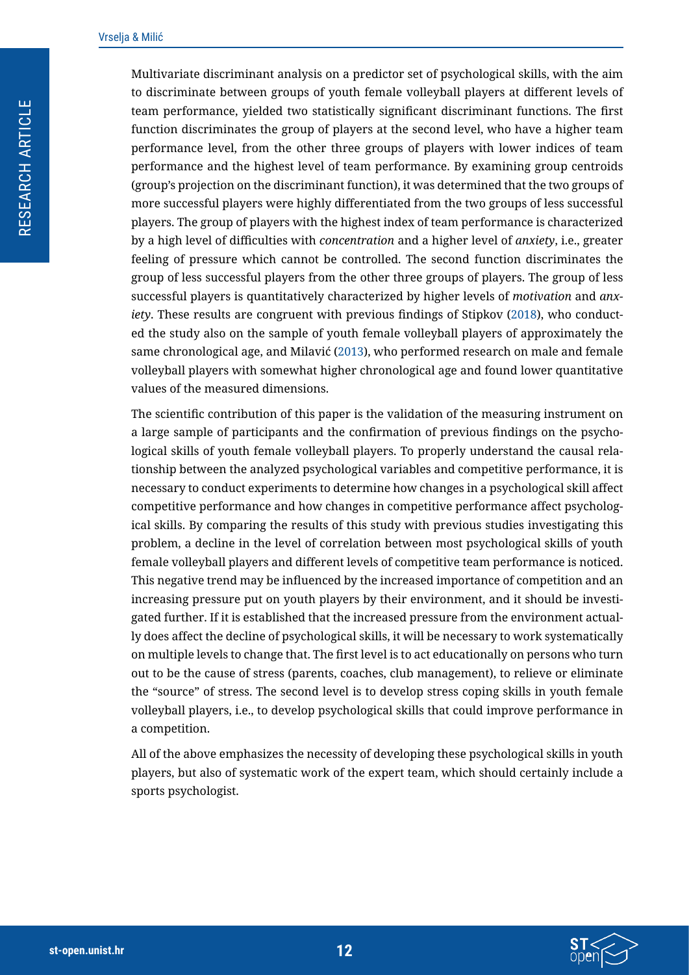Multivariate discriminant analysis on a predictor set of psychological skills, with the aim to discriminate between groups of youth female volleyball players at different levels of team performance, yielded two statistically significant discriminant functions. The first function discriminates the group of players at the second level, who have a higher team performance level, from the other three groups of players with lower indices of team performance and the highest level of team performance. By examining group centroids (group's projection on the discriminant function), it was determined that the two groups of more successful players were highly differentiated from the two groups of less successful players. The group of players with the highest index of team performance is characterized by a high level of difficulties with *concentration* and a higher level of *anxiety*, i.e., greater feeling of pressure which cannot be controlled. The second function discriminates the group of less successful players from the other three groups of players. The group of less successful players is quantitatively characterized by higher levels of *motivation* and *anxiety*. These results are congruent with previous findings of Stipkov ([2018](#page-13-4)), who conducted the study also on the sample of youth female volleyball players of approximately the same chronological age, and Milavić (2013), who performed research on male and female volleyball players with somewhat higher chronological age and found lower quantitative values of the measured dimensions.

The scientific contribution of this paper is the validation of the measuring instrument on a large sample of participants and the confirmation of previous findings on the psychological skills of youth female volleyball players. To properly understand the causal relationship between the analyzed psychological variables and competitive performance, it is necessary to conduct experiments to determine how changes in a psychological skill affect competitive performance and how changes in competitive performance affect psychological skills. By comparing the results of this study with previous studies investigating this problem, a decline in the level of correlation between most psychological skills of youth female volleyball players and different levels of competitive team performance is noticed. This negative trend may be influenced by the increased importance of competition and an increasing pressure put on youth players by their environment, and it should be investigated further. If it is established that the increased pressure from the environment actually does affect the decline of psychological skills, it will be necessary to work systematically on multiple levels to change that. The first level is to act educationally on persons who turn out to be the cause of stress (parents, coaches, club management), to relieve or eliminate the "source" of stress. The second level is to develop stress coping skills in youth female volleyball players, i.e., to develop psychological skills that could improve performance in a competition.

All of the above emphasizes the necessity of developing these psychological skills in youth players, but also of systematic work of the expert team, which should certainly include a sports psychologist.

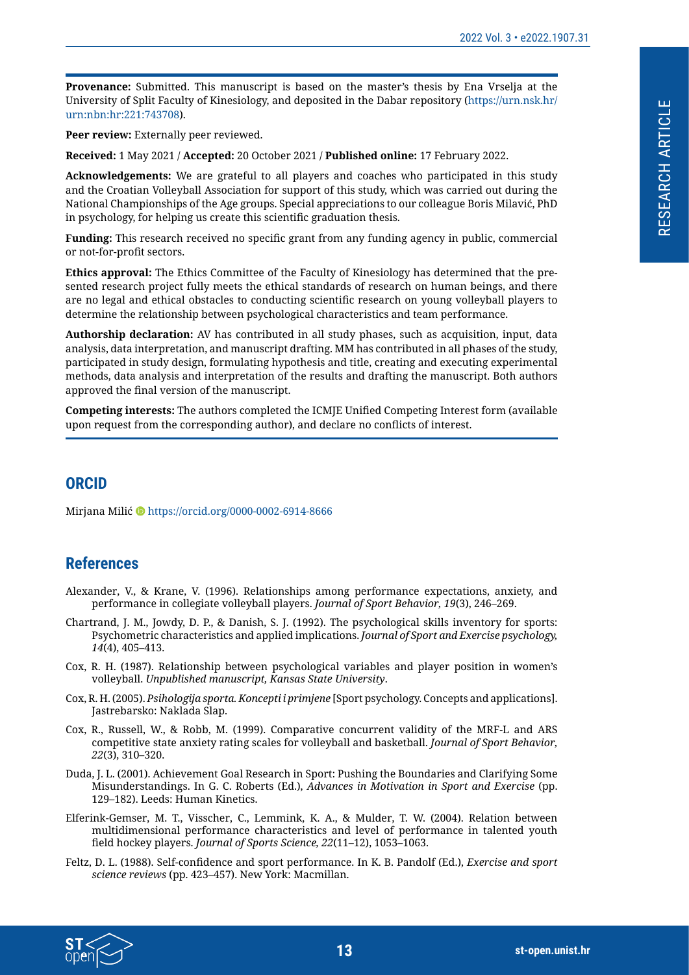**Provenance:** Submitted. This manuscript is based on the master's thesis by Ena Vrselja at the University of Split Faculty of Kinesiology, and deposited in the Dabar repository (https://urn.nsk.hr/ urn:nbn:hr:221:743708).

**Peer review:** Externally peer reviewed.

**Received:** 1 May 2021 / **Accepted:** 20 October 2021 / **Published online:** 17 February 2022.

**Acknowledgements:** We are grateful to all players and coaches who participated in this study and the Croatian Volleyball Association for support of this study, which was carried out during the National Championships of the Age groups. Special appreciations to our colleague Boris Milavić, PhD in psychology, for helping us create this scientific graduation thesis.

**Funding:** This research received no specific grant from any funding agency in public, commercial or not-for-profit sectors.

**Ethics approval:** The Ethics Committee of the Faculty of Kinesiology has determined that the presented research project fully meets the ethical standards of research on human beings, and there are no legal and ethical obstacles to conducting scientific research on young volleyball players to determine the relationship between psychological characteristics and team performance.

**Authorship declaration:** AV has contributed in all study phases, such as acquisition, input, data analysis, data interpretation, and manuscript drafting. MM has contributed in all phases of the study, participated in study design, formulating hypothesis and title, creating and executing experimental methods, data analysis and interpretation of the results and drafting the manuscript. Both authors approved the final version of the manuscript.

**Competing interests:** The authors completed the ICMJE Unified Competing Interest form (available upon request from the corresponding author), and declare no conflicts of interest.

#### **ORCID**

Mirjana Milić Dhttps://orcid.org/0000-0002-6914-8666

#### **References**

- <span id="page-12-0"></span>Alexander, V., & Krane, V. (1996). Relationships among performance expectations, anxiety, and performance in collegiate volleyball players. *Journal of Sport Behavior, 19*(3), 246–269.
- <span id="page-12-4"></span>Chartrand, J. M., Jowdy, D. P., & Danish, S. J. (1992). The psychological skills inventory for sports: Psychometric characteristics and applied implications. *Journal of Sport and Exercise psychology, 14*(4), 405–413.
- <span id="page-12-6"></span>Cox, R. H. (1987). Relationship between psychological variables and player position in women's volleyball. *Unpublished manuscript, Kansas State University*.
- <span id="page-12-7"></span>Cox, R. H. (2005). *Psihologija sporta. Koncepti i primjene* [Sport psychology. Concepts and applications]. Jastrebarsko: Naklada Slap.
- <span id="page-12-1"></span>Cox, R., Russell, W., & Robb, M. (1999). Comparative concurrent validity of the MRF-L and ARS competitive state anxiety rating scales for volleyball and basketball. *Journal of Sport Behavior, 22*(3), 310–320.
- <span id="page-12-2"></span>Duda, J. L. (2001). Achievement Goal Research in Sport: Pushing the Boundaries and Clarifying Some Misunderstandings. In G. C. Roberts (Ed.), *Advances in Motivation in Sport and Exercise* (pp. 129–182). Leeds: Human Kinetics.
- <span id="page-12-5"></span>Elferink-Gemser, M. T., Visscher, C., Lemmink, K. A., & Mulder, T. W. (2004). Relation between multidimensional performance characteristics and level of performance in talented youth field hockey players. *Journal of Sports Science, 22*(11–12), 1053–1063.
- <span id="page-12-3"></span>Feltz, D. L. (1988). Self-confidence and sport performance. In K. B. Pandolf (Ed.), *Exercise and sport science reviews* (pp. 423–457). New York: Macmillan.

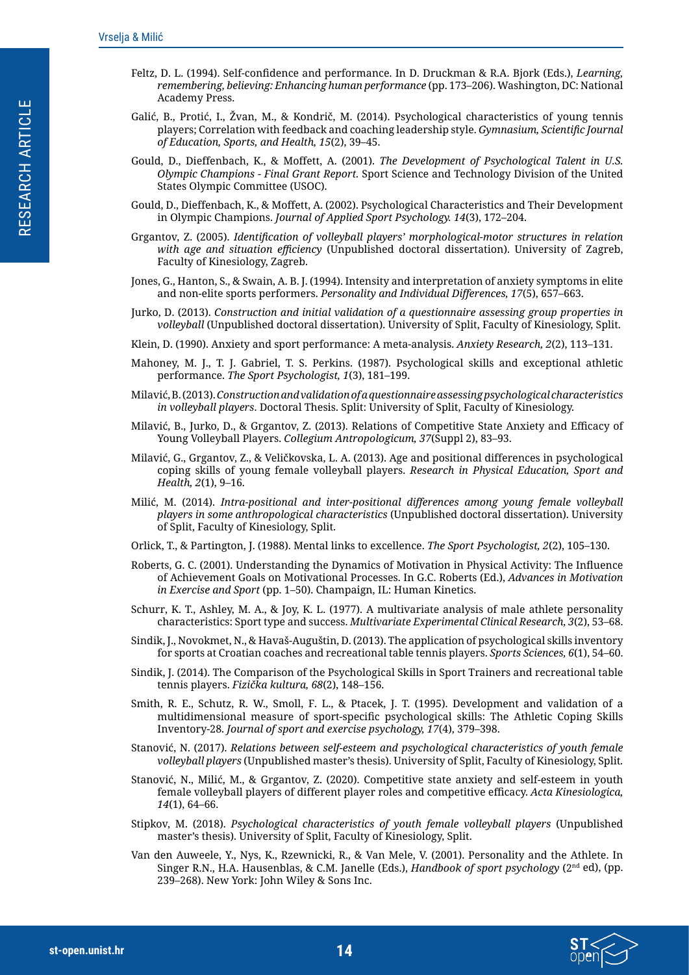- <span id="page-13-8"></span>Feltz, D. L. (1994). Self-confidence and performance. In D. Druckman & R.A. Bjork (Eds.), *Learning, remembering, believing: Enhancing human performance* (pp. 173–206). Washington, DC: National Academy Press.
- Galić, B., Protić, I., Žvan, M., & Kondrič, M. (2014). Psychological characteristics of young tennis players; Correlation with feedback and coaching leadership style. *Gymnasium, Scientific Journal of Education, Sports, and Health, 15*(2), 39–45.
- <span id="page-13-11"></span>Gould, D., Dieffenbach, K., & Moffett, A. (2001). *The Development of Psychological Talent in U.S. Olympic Champions - Final Grant Report.* Sport Science and Technology Division of the United States Olympic Committee (USOC).
- <span id="page-13-12"></span>Gould, D., Dieffenbach, K., & Moffett, A. (2002). Psychological Characteristics and Their Development in Olympic Champions. *Journal of Applied Sport Psychology. 14*(3), 172–204.
- <span id="page-13-0"></span>Grgantov, Z. (2005). *Identification of volleyball players' morphological-motor structures in relation with age and situation efficiency* (Unpublished doctoral dissertation). University of Zagreb, Faculty of Kinesiology, Zagreb.
- <span id="page-13-9"></span>Jones, G., Hanton, S., & Swain, A. B. J. (1994). Intensity and interpretation of anxiety symptoms in elite and non-elite sports performers. *Personality and Individual Differences, 17*(5), 657–663.
- <span id="page-13-3"></span>Jurko, D. (2013). *Construction and initial validation of a questionnaire assessing group properties in volleyball* (Unpublished doctoral dissertation). University of Split, Faculty of Kinesiology, Split.
- <span id="page-13-7"></span>Klein, D. (1990). Anxiety and sport performance: A meta-analysis. *Anxiety Research, 2*(2), 113–131.
- <span id="page-13-6"></span>Mahoney, M. J., T. J. Gabriel, T. S. Perkins. (1987). Psychological skills and exceptional athletic performance. *The Sport Psychologist, 1*(3), 181–199.
- Milavić, B. (2013). *Construction and validation of a questionnaire assessing psychological characteristics in volleyball players*. Doctoral Thesis. Split: University of Split, Faculty of Kinesiology.
- Milavić, B., Jurko, D., & Grgantov, Z. (2013). Relations of Competitive State Anxiety and Efficacy of Young Volleyball Players. *Collegium Antropologicum, 37*(Suppl 2), 83–93.
- Milavić, G., Grgantov, Z., & Veličkovska, L. A. (2013). Age and positional differences in psychological coping skills of young female volleyball players. *Research in Physical Education, Sport and Health, 2*(1), 9–16.
- Milić, M. (2014). *Intra-positional and inter-positional differences among young female volleyball players in some anthropological characteristics* (Unpublished doctoral dissertation). University of Split, Faculty of Kinesiology, Split.
- <span id="page-13-1"></span>Orlick, T., & Partington, J. (1988). Mental links to excellence. *The Sport Psychologist, 2*(2), 105–130.
- <span id="page-13-2"></span>Roberts, G. C. (2001). Understanding the Dynamics of Motivation in Physical Activity: The Influence of Achievement Goals on Motivational Processes. In G.C. Roberts (Ed.), *Advances in Motivation in Exercise and Sport* (pp. 1–50). Champaign, IL: Human Kinetics.
- <span id="page-13-5"></span>Schurr, K. T., Ashley, M. A., & Joy, K. L. (1977). A multivariate analysis of male athlete personality characteristics: Sport type and success. *Multivariate Experimental Clinical Research, 3*(2), 53–68.
- Sindik, J., Novokmet, N., & Havaš-Auguštin, D. (2013). The application of psychological skills inventory for sports at Croatian coaches and recreational table tennis players. *Sports Sciences, 6*(1), 54–60.
- <span id="page-13-14"></span>Sindik, J. (2014). The Comparison of the Psychological Skills in Sport Trainers and recreational table tennis players. *Fizička kultura, 68*(2), 148–156.
- <span id="page-13-13"></span>Smith, R. E., Schutz, R. W., Smoll, F. L., & Ptacek, J. T. (1995). Development and validation of a multidimensional measure of sport-specific psychological skills: The Athletic Coping Skills Inventory-28. *Journal of sport and exercise psychology, 17*(4), 379–398.
- Stanović, N. (2017). *Relations between self-esteem and psychological characteristics of youth female volleyball players* (Unpublished master's thesis). University of Split, Faculty of Kinesiology, Split*.*
- Stanović, N., Milić, M., & Grgantov, Z. (2020). Competitive state anxiety and self-esteem in youth female volleyball players of different player roles and competitive efficacy. *Acta Kinesiologica, 14*(1), 64–66.
- <span id="page-13-4"></span>Stipkov, M. (2018). *Psychological characteristics of youth female volleyball players* (Unpublished master's thesis). University of Split, Faculty of Kinesiology, Split.
- <span id="page-13-10"></span>Van den Auweele, Y., Nys, K., Rzewnicki, R., & Van Mele, V. (2001). Personality and the Athlete. In Singer R.N., H.A. Hausenblas, & C.M. Janelle (Eds.), *Handbook of sport psychology* (2nd ed), (pp. 239–268). New York: John Wiley & Sons Inc.